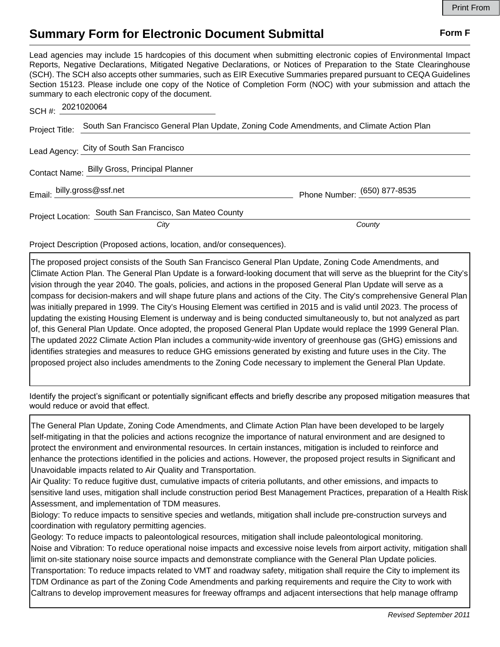## **Summary Form for Electronic Document Submittal Form F Form F**

Lead agencies may include 15 hardcopies of this document when submitting electronic copies of Environmental Impact Reports, Negative Declarations, Mitigated Negative Declarations, or Notices of Preparation to the State Clearinghouse (SCH). The SCH also accepts other summaries, such as EIR Executive Summaries prepared pursuant to CEQA Guidelines Section 15123. Please include one copy of the Notice of Completion Form (NOC) with your submission and attach the summary to each electronic copy of the document.

| SCH #: 2021020064          |                                                                                          |                              |
|----------------------------|------------------------------------------------------------------------------------------|------------------------------|
| Project Title:             | South San Francisco General Plan Update, Zoning Code Amendments, and Climate Action Plan |                              |
|                            | Lead Agency: City of South San Francisco                                                 |                              |
|                            | Contact Name: Billy Gross, Principal Planner                                             |                              |
| Email: billy.gross@ssf.net |                                                                                          | Phone Number: (650) 877-8535 |
|                            | Project Location: South San Francisco, San Mateo County                                  |                              |
|                            | City                                                                                     | County                       |

Project Description (Proposed actions, location, and/or consequences).

The proposed project consists of the South San Francisco General Plan Update, Zoning Code Amendments, and Climate Action Plan. The General Plan Update is a forward-looking document that will serve as the blueprint for the City's vision through the year 2040. The goals, policies, and actions in the proposed General Plan Update will serve as a compass for decision-makers and will shape future plans and actions of the City. The City's comprehensive General Plan was initially prepared in 1999. The City's Housing Element was certified in 2015 and is valid until 2023. The process of updating the existing Housing Element is underway and is being conducted simultaneously to, but not analyzed as part of, this General Plan Update. Once adopted, the proposed General Plan Update would replace the 1999 General Plan. The updated 2022 Climate Action Plan includes a community-wide inventory of greenhouse gas (GHG) emissions and identifies strategies and measures to reduce GHG emissions generated by existing and future uses in the City. The proposed project also includes amendments to the Zoning Code necessary to implement the General Plan Update.

Identify the project's significant or potentially significant effects and briefly describe any proposed mitigation measures that would reduce or avoid that effect.

The General Plan Update, Zoning Code Amendments, and Climate Action Plan have been developed to be largely self-mitigating in that the policies and actions recognize the importance of natural environment and are designed to protect the environment and environmental resources. In certain instances, mitigation is included to reinforce and enhance the protections identified in the policies and actions. However, the proposed project results in Significant and Unavoidable impacts related to Air Quality and Transportation.

Air Quality: To reduce fugitive dust, cumulative impacts of criteria pollutants, and other emissions, and impacts to sensitive land uses, mitigation shall include construction period Best Management Practices, preparation of a Health Risk Assessment, and implementation of TDM measures.

Biology: To reduce impacts to sensitive species and wetlands, mitigation shall include pre-construction surveys and coordination with regulatory permitting agencies.

Geology: To reduce impacts to paleontological resources, mitigation shall include paleontological monitoring. Noise and Vibration: To reduce operational noise impacts and excessive noise levels from airport activity, mitigation shall limit on-site stationary noise source impacts and demonstrate compliance with the General Plan Update policies. Transportation: To reduce impacts related to VMT and roadway safety, mitigation shall require the City to implement its TDM Ordinance as part of the Zoning Code Amendments and parking requirements and require the City to work with Caltrans to develop improvement measures for freeway offramps and adjacent intersections that help manage offramp